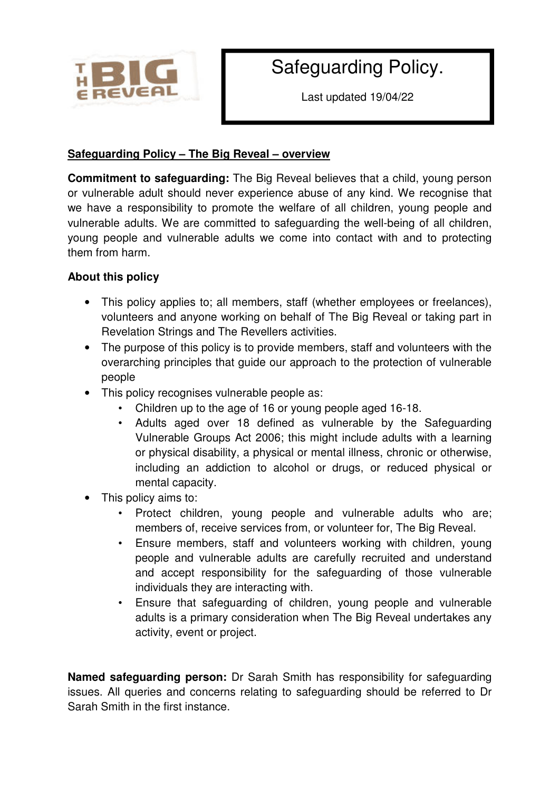

# Safeguarding Policy.

Last updated 19/04/22

## **Safeguarding Policy – The Big Reveal – overview**

**Commitment to safeguarding:** The Big Reveal believes that a child, young person or vulnerable adult should never experience abuse of any kind. We recognise that we have a responsibility to promote the welfare of all children, young people and vulnerable adults. We are committed to safeguarding the well-being of all children, young people and vulnerable adults we come into contact with and to protecting them from harm.

## **About this policy**

- This policy applies to; all members, staff (whether employees or freelances), volunteers and anyone working on behalf of The Big Reveal or taking part in Revelation Strings and The Revellers activities.
- The purpose of this policy is to provide members, staff and volunteers with the overarching principles that guide our approach to the protection of vulnerable people
- This policy recognises vulnerable people as:
	- Children up to the age of 16 or young people aged 16-18.
	- Adults aged over 18 defined as vulnerable by the Safeguarding Vulnerable Groups Act 2006; this might include adults with a learning or physical disability, a physical or mental illness, chronic or otherwise, including an addiction to alcohol or drugs, or reduced physical or mental capacity.
- This policy aims to:
	- Protect children, young people and vulnerable adults who are; members of, receive services from, or volunteer for, The Big Reveal.
	- Ensure members, staff and volunteers working with children, young people and vulnerable adults are carefully recruited and understand and accept responsibility for the safeguarding of those vulnerable individuals they are interacting with.
	- Ensure that safeguarding of children, young people and vulnerable adults is a primary consideration when The Big Reveal undertakes any activity, event or project.

**Named safeguarding person:** Dr Sarah Smith has responsibility for safeguarding issues. All queries and concerns relating to safeguarding should be referred to Dr Sarah Smith in the first instance.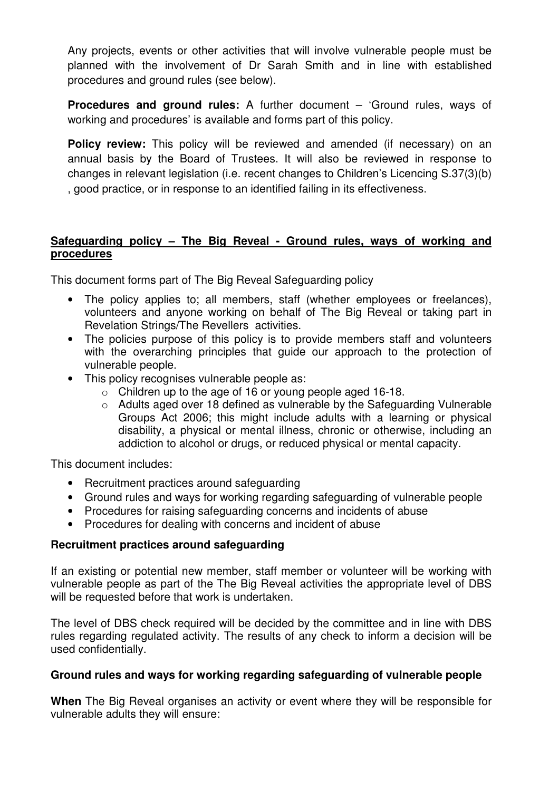Any projects, events or other activities that will involve vulnerable people must be planned with the involvement of Dr Sarah Smith and in line with established procedures and ground rules (see below).

**Procedures and ground rules:** A further document – 'Ground rules, ways of working and procedures' is available and forms part of this policy.

**Policy review:** This policy will be reviewed and amended (if necessary) on an annual basis by the Board of Trustees. It will also be reviewed in response to changes in relevant legislation (i.e. recent changes to Children's Licencing S.37(3)(b) , good practice, or in response to an identified failing in its effectiveness.

### **Safeguarding policy – The Big Reveal - Ground rules, ways of working and procedures**

This document forms part of The Big Reveal Safeguarding policy

- The policy applies to; all members, staff (whether employees or freelances), volunteers and anyone working on behalf of The Big Reveal or taking part in Revelation Strings/The Revellers activities.
- The policies purpose of this policy is to provide members staff and volunteers with the overarching principles that quide our approach to the protection of vulnerable people.
- This policy recognises vulnerable people as:
	- o Children up to the age of 16 or young people aged 16-18.
	- o Adults aged over 18 defined as vulnerable by the Safeguarding Vulnerable Groups Act 2006; this might include adults with a learning or physical disability, a physical or mental illness, chronic or otherwise, including an addiction to alcohol or drugs, or reduced physical or mental capacity.

This document includes:

- Recruitment practices around safeguarding
- Ground rules and ways for working regarding safeguarding of vulnerable people
- Procedures for raising safeguarding concerns and incidents of abuse
- Procedures for dealing with concerns and incident of abuse

#### **Recruitment practices around safeguarding**

If an existing or potential new member, staff member or volunteer will be working with vulnerable people as part of the The Big Reveal activities the appropriate level of DBS will be requested before that work is undertaken.

The level of DBS check required will be decided by the committee and in line with DBS rules regarding regulated activity. The results of any check to inform a decision will be used confidentially.

#### **Ground rules and ways for working regarding safeguarding of vulnerable people**

**When** The Big Reveal organises an activity or event where they will be responsible for vulnerable adults they will ensure: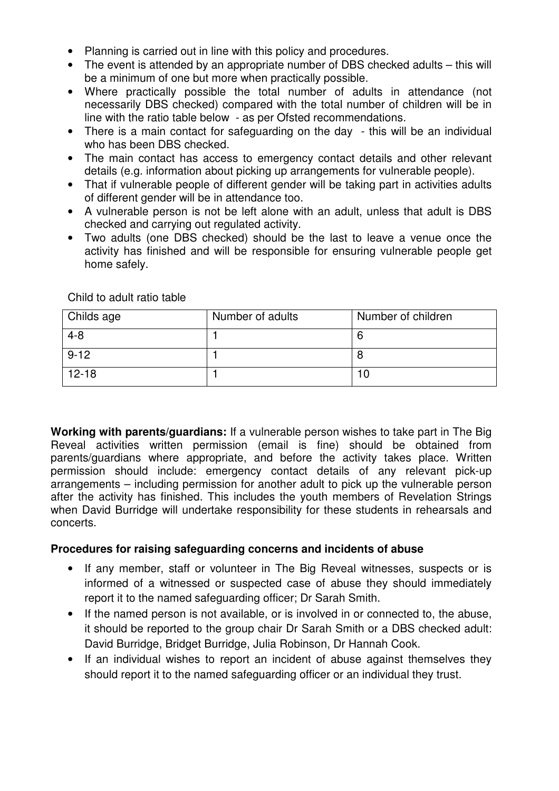- Planning is carried out in line with this policy and procedures.
- The event is attended by an appropriate number of DBS checked adults this will be a minimum of one but more when practically possible.
- Where practically possible the total number of adults in attendance (not necessarily DBS checked) compared with the total number of children will be in line with the ratio table below - as per Ofsted recommendations.
- There is a main contact for safeguarding on the day this will be an individual who has been DBS checked.
- The main contact has access to emergency contact details and other relevant details (e.g. information about picking up arrangements for vulnerable people).
- That if vulnerable people of different gender will be taking part in activities adults of different gender will be in attendance too.
- A vulnerable person is not be left alone with an adult, unless that adult is DBS checked and carrying out regulated activity.
- Two adults (one DBS checked) should be the last to leave a venue once the activity has finished and will be responsible for ensuring vulnerable people get home safely.

Child to adult ratio table

| Childs age | Number of adults | Number of children |
|------------|------------------|--------------------|
| $4 - 8$    |                  |                    |
| $9 - 12$   |                  |                    |
| $12 - 18$  |                  |                    |

**Working with parents/guardians:** If a vulnerable person wishes to take part in The Big Reveal activities written permission (email is fine) should be obtained from parents/guardians where appropriate, and before the activity takes place. Written permission should include: emergency contact details of any relevant pick-up arrangements – including permission for another adult to pick up the vulnerable person after the activity has finished. This includes the youth members of Revelation Strings when David Burridge will undertake responsibility for these students in rehearsals and concerts.

#### **Procedures for raising safeguarding concerns and incidents of abuse**

- If any member, staff or volunteer in The Big Reveal witnesses, suspects or is informed of a witnessed or suspected case of abuse they should immediately report it to the named safeguarding officer; Dr Sarah Smith.
- If the named person is not available, or is involved in or connected to, the abuse, it should be reported to the group chair Dr Sarah Smith or a DBS checked adult: David Burridge, Bridget Burridge, Julia Robinson, Dr Hannah Cook.
- If an individual wishes to report an incident of abuse against themselves they should report it to the named safeguarding officer or an individual they trust.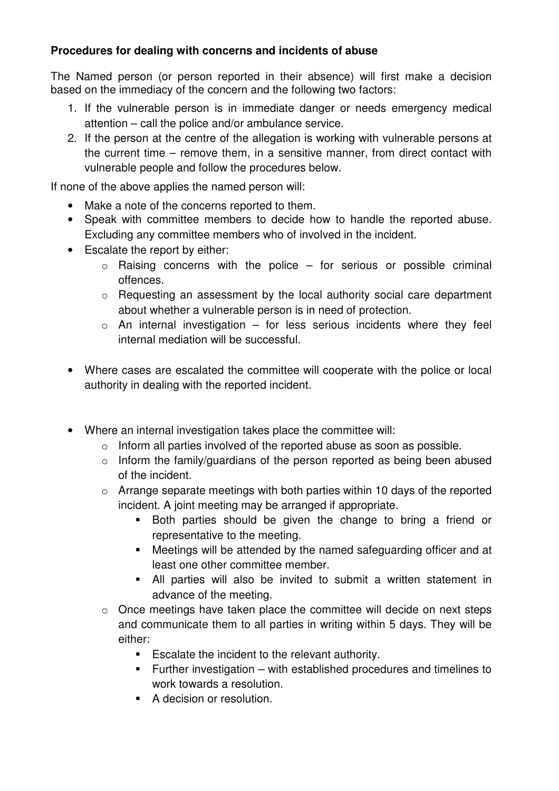## **Procedures for dealing with concerns and incidents of abuse**

The Named person (or person reported in their absence) will first make a decision based on the immediacy of the concern and the following two factors:

- 1. If the vulnerable person is in immediate danger or needs emergency medical attention – call the police and/or ambulance service.
- 2. If the person at the centre of the allegation is working with vulnerable persons at the current time – remove them, in a sensitive manner, from direct contact with vulnerable people and follow the procedures below.

If none of the above applies the named person will:

- Make a note of the concerns reported to them.
- Speak with committee members to decide how to handle the reported abuse. Excluding any committee members who of involved in the incident.
- Escalate the report by either:
	- $\circ$  Raising concerns with the police for serious or possible criminal offences.
	- o Requesting an assessment by the local authority social care department about whether a vulnerable person is in need of protection.
	- $\circ$  An internal investigation for less serious incidents where they feel internal mediation will be successful.
- Where cases are escalated the committee will cooperate with the police or local authority in dealing with the reported incident.
- Where an internal investigation takes place the committee will:
	- o Inform all parties involved of the reported abuse as soon as possible.
	- o Inform the family/guardians of the person reported as being been abused of the incident.
	- o Arrange separate meetings with both parties within 10 days of the reported incident. A joint meeting may be arranged if appropriate.
		- Both parties should be given the change to bring a friend or representative to the meeting.
		- Meetings will be attended by the named safeguarding officer and at least one other committee member.
		- All parties will also be invited to submit a written statement in advance of the meeting.
	- o Once meetings have taken place the committee will decide on next steps and communicate them to all parties in writing within 5 days. They will be either:
		- **Escalate the incident to the relevant authority.**
		- **Further investigation with established procedures and timelines to** work towards a resolution.
		- A decision or resolution.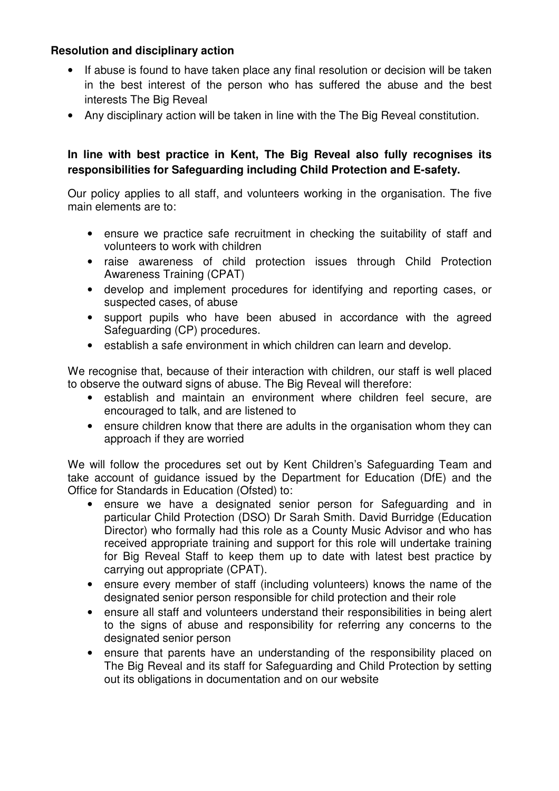## **Resolution and disciplinary action**

- If abuse is found to have taken place any final resolution or decision will be taken in the best interest of the person who has suffered the abuse and the best interests The Big Reveal
- Any disciplinary action will be taken in line with the The Big Reveal constitution.

## **In line with best practice in Kent, The Big Reveal also fully recognises its responsibilities for Safeguarding including Child Protection and E-safety.**

Our policy applies to all staff, and volunteers working in the organisation. The five main elements are to:

- ensure we practice safe recruitment in checking the suitability of staff and volunteers to work with children
- raise awareness of child protection issues through Child Protection Awareness Training (CPAT)
- develop and implement procedures for identifying and reporting cases, or suspected cases, of abuse
- support pupils who have been abused in accordance with the agreed Safeguarding (CP) procedures.
- establish a safe environment in which children can learn and develop.

We recognise that, because of their interaction with children, our staff is well placed to observe the outward signs of abuse. The Big Reveal will therefore:

- establish and maintain an environment where children feel secure, are encouraged to talk, and are listened to
- ensure children know that there are adults in the organisation whom they can approach if they are worried

We will follow the procedures set out by Kent Children's Safeguarding Team and take account of guidance issued by the Department for Education (DfE) and the Office for Standards in Education (Ofsted) to:

- ensure we have a designated senior person for Safeguarding and in particular Child Protection (DSO) Dr Sarah Smith. David Burridge (Education Director) who formally had this role as a County Music Advisor and who has received appropriate training and support for this role will undertake training for Big Reveal Staff to keep them up to date with latest best practice by carrying out appropriate (CPAT).
- ensure every member of staff (including volunteers) knows the name of the designated senior person responsible for child protection and their role
- ensure all staff and volunteers understand their responsibilities in being alert to the signs of abuse and responsibility for referring any concerns to the designated senior person
- ensure that parents have an understanding of the responsibility placed on The Big Reveal and its staff for Safeguarding and Child Protection by setting out its obligations in documentation and on our website